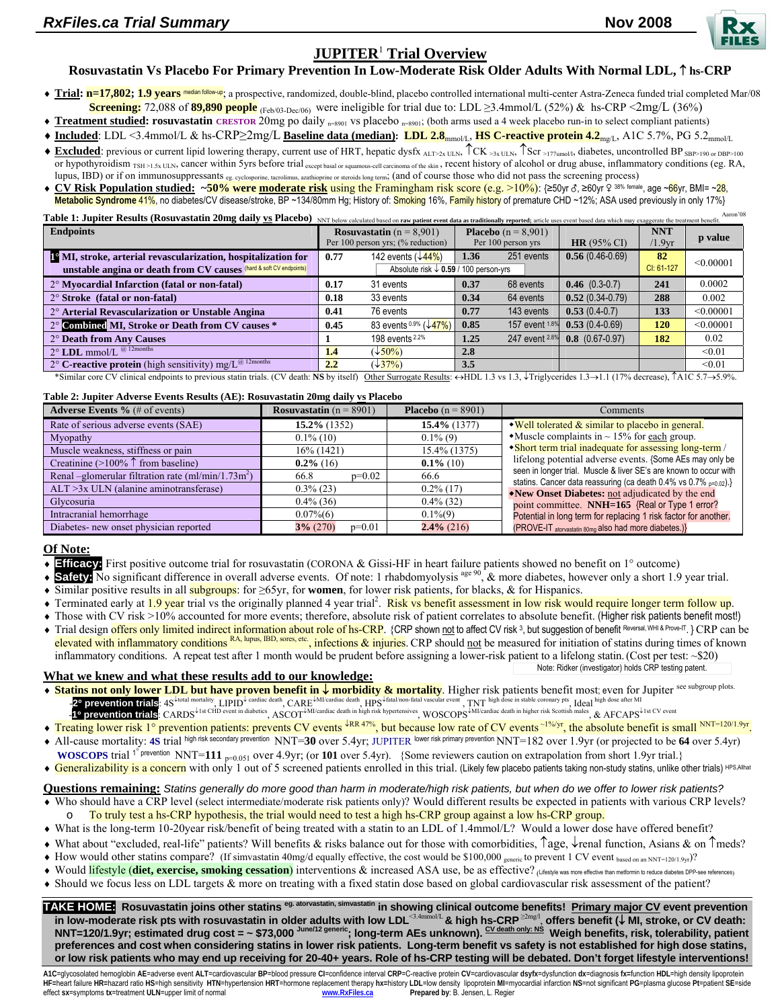

# **JUPITER**<sup>1</sup>  **Trial Overview**

# **Rosuvastatin Vs Placebo For Primary Prevention In Low-Moderate Risk Older Adults With Normal LDL,** ↑ **hs-CRP**

- ♦ **Trial: n=17,802; 1.9 years** median follow-up; a prospective, randomized, double-blind, placebo controlled international multi-center Astra-Zeneca funded trial completed Mar/08 **Screening:** 72,088 of 89,890 people <sub>(Feb/03-Dec/06)</sub> were ineligible for trial due to: LDL ≥3.4mmol/L (52%) & hs-CRP <2mg/L (36%)
- ♦ **Treatment studied: rosuvastatin CRESTOR** 20mg po daily n=8901 vs placebo n=8901; (both arms used a 4 week placebo run-in to select compliant patients)
- ♦ **Included**: LDL <3.4mmol/L & hs-CRP≥2mg/L **Baseline data (median): LDL 2.8**mmol/L, **HS C-reactive protein 4.2**mg/L, A1C 5.7%, PG 5.2mmol/L
- **Excluded**: previous or current lipid lowering therapy, current use of HRT, hepatic dysfx  $_{ALT>2x ULN}$ ,  $\uparrow$ CK  $_{\geq 3x ULN}$ ,  $\uparrow$ Scr  $_{\geq 177 \text{umol/l}}$ , diabetes, uncontrolled BP  $_{SBP>190 \text{ or } DBP>100}$ or hypothyroidism TSH >1.5x ULN, cancer within 5yrs before trial except basal or squamous-cell carcinoma of the skin, recent history of alcohol or drug abuse, inflammatory conditions (eg. RA, lupus, IBD) or if on immunosuppressants eg. cyclosporine, tacrolimus, azathioprine or steroids long term; (and of course those who did not pass the screening process)
- CV Risk Population studied: ~50% were moderate risk using the Framingham risk score (e.g. >10%): {≥50yr &, ≥60yr & <sup>38% female</sup>, age ~66yr, BMI= ~<mark>28</mark>, Metabolic Syndrome 41%, no diabetes/CV disease/stroke, BP ~134/80mm Hg; History of: Smoking 16%, Family history of premature CHD ~12%; ASA used previously in only 17%}

| Aaron'08<br>Table 1: Jupiter Results (Rosuvastatin 20mg daily <b>ys</b> Placebo) NNT below calculated based on raw patient event data as traditionally reported; article uses event based data which may exaggerate the treatment benefit. |                                                  |                                |                              |                |                   |                    |           |  |  |
|--------------------------------------------------------------------------------------------------------------------------------------------------------------------------------------------------------------------------------------------|--------------------------------------------------|--------------------------------|------------------------------|----------------|-------------------|--------------------|-----------|--|--|
| <b>Endpoints</b>                                                                                                                                                                                                                           | <b>Rosuvastatin</b> $(n = 8,901)$                |                                | <b>Placebo</b> $(n = 8,901)$ |                |                   | <b>NNT</b>         | p value   |  |  |
|                                                                                                                                                                                                                                            | Per 100 person yrs; (% reduction)                |                                | Per 100 person yrs           |                | $HR(95\% CI)$     | /1.9 <sub>vr</sub> |           |  |  |
| <sup>1</sup> <sup>o</sup> MI, stroke, arterial revascularization, hospitalization for                                                                                                                                                      | 0.77                                             | 142 events $(\sqrt{44\%})$     | 1.36                         | 251 events     | $0.56(0.46-0.69)$ | 82                 | < 0.00001 |  |  |
| unstable angina or death from CV causes (hard & soft CV endpoints)                                                                                                                                                                         | Absolute risk $\downarrow$ 0.59 / 100 person-yrs |                                |                              |                | CI: 61-127        |                    |           |  |  |
| 2° Myocardial Infarction (fatal or non-fatal)                                                                                                                                                                                              | 0.17                                             | 31 events                      | 0.37                         | 68 events      | $0.46$ (0.3-0.7)  | 241                | 0.0002    |  |  |
| $2^{\circ}$ Stroke (fatal or non-fatal)                                                                                                                                                                                                    | 0.18                                             | 33 events                      | 0.34                         | 64 events      | $0.52(0.34-0.79)$ | 288                | 0.002     |  |  |
| 2° Arterial Revascularization or Unstable Angina                                                                                                                                                                                           | 0.41                                             | 76 events                      | 0.77                         | 143 events     | $0.53(0.4-0.7)$   | 133                | < 0.00001 |  |  |
| 2° Combined MI, Stroke or Death from CV causes *                                                                                                                                                                                           | 0.45                                             | 83 events 0.9% $(\sqrt{47\%})$ | 0.85                         | 157 event 1.8% | $0.53(0.4-0.69)$  | 120                | < 0.00001 |  |  |
| 2° Death from Any Causes                                                                                                                                                                                                                   |                                                  | 198 events 2.2%                | 1.25                         | 247 event 2.8% | $0.8$ (0.67-0.97) | 182                | 0.02      |  |  |
| $2^{\circ}$ LDL mmol/L $@$ 12months                                                                                                                                                                                                        | 1.4                                              | $(\sqrt{50\%})$                | 2.8                          |                |                   |                    | < 0.01    |  |  |
| 2° C-reactive protein (high sensitivity) mg/ $L^{\textcircled{a}$ 12months                                                                                                                                                                 | 2.2                                              | $(\sqrt{37\%})$                | 3.5                          |                |                   |                    | < 0.01    |  |  |

\*Similar core CV clinical endpoints to previous statin trials. (CV death: **NS** by itself) Other Surrogate Results: ↔HDL 1.3 vs 1.3, ↓Triglycerides 1.3→1.1 (17% decrease), ↑A1C 5.7→5.9%.

### Table 2: Jupiter Adverse Events Results (AE): Rosuvastatin 20mg daily **vs** Placebo

| <b>Adverse Events</b> $\%$ (# of events)                                           | <b>Rosuvastatin</b> $(n = 8901)$ | <b>Placebo</b> $(n = 8901)$ | Comments                                                                                                            |  |  |
|------------------------------------------------------------------------------------|----------------------------------|-----------------------------|---------------------------------------------------------------------------------------------------------------------|--|--|
| Rate of serious adverse events (SAE)                                               | $15.2\%$ (1352)                  | $15.4\%$ (1377)             | $\blacktriangleright$ Well tolerated $\&$ similar to placebo in general.                                            |  |  |
| Myopathy                                                                           | $0.1\%$ (10)                     | $0.1\%$ (9)                 | • Muscle complaints in $\sim$ 15% for each group.                                                                   |  |  |
| Muscle weakness, stiffness or pain                                                 | 16% (1421)                       | 15.4% (1375)                | • Short term trial inadequate for assessing long-term /                                                             |  |  |
| Creatinine (>100% $\uparrow$ from baseline)                                        | $0.2\%$ (16)                     | $0.1\%$ (10)                | lifelong potential adverse events. {Some AEs may only be                                                            |  |  |
| Renal -glomerular filtration rate $\text{m} \text{l/min} / \text{1.73} \text{m}^2$ | $p=0.02$<br>66.8                 | 66.6                        | seen in longer trial. Muscle & liver SE's are known to occur with                                                   |  |  |
| $ALT > 3x$ ULN (alanine aminotransferase)                                          | $0.3\%$ (23)                     | $0.2\%$ (17)                | statins. Cancer data reassuring (ca death 0.4% vs 0.7% p=0.02).}<br>•New Onset Diabetes: not adjudicated by the end |  |  |
| Glycosuria                                                                         | $0.4\%$ (36)                     | $0.4\%$ (32)                | point committee. NNH=165 {Real or Type 1 error?                                                                     |  |  |
| Intracranial hemorrhage                                                            | $0.07\%$ (6)                     | $0.1\%(9)$                  | Potential in long term for replacing 1 risk factor for another.                                                     |  |  |
| Diabetes- new onset physician reported                                             | $3\% (270)$<br>$p=0.01$          | $2.4\%$ (216)               | (PROVE-IT atorvastatin 80mg also had more diabetes.)                                                                |  |  |

## **Of Note:**

- **Efficacy:** First positive outcome trial for rosuvastatin (CORONA & Gissi-HF in heart failure patients showed no benefit on 1° outcome)
- Safety: No significant difference in overall adverse events. Of note: 1 rhabdomyolysis <sup>age 90</sup>, & more diabetes, however only a short 1.9 year trial.
- ♦ Similar positive results in all subgroups: for ≥65yr, for **women**, for lower risk patients, for blacks, & for Hispanics.
- ◆ Terminated early at 1.9 year trial vs the originally planned 4 year trial<sup>2</sup>. Risk vs benefit assessment in low risk would require longer term follow up.
- ♦ Those with CV risk >10% accounted for more events; therefore, absolute risk of patient correlates to absolute benefit. (Higher risk patients benefit most!)
- ◆ Trial design offers only limited indirect information about role of hs-CRP. {CRP shown not to affect CV risk 3, but suggestion of benefit Reversal, WHI & Prove-IT. } CRP can be elevated with inflammatory conditions RA, lupus, IBD, sores, etc., infections & injuries. CRP should not be measured for initiation of statins during times of known inflammatory conditions. A repeat test after 1 month would be prudent before assigning a lower-risk patient to a lifelong statin.(Cost per test: ~\$20) Note: Ridker (investigator) holds CRP testing patent.

## **What we knew and what these results add to our knowledge:**

- ♦ **Statins not only lower LDL but have proven benefit in** ↓ **morbidity & mortality**. Higher risk patients benefit most; even for Jupiter see subgroup plots. **2° prevention trials**: 4S<sup>↓total mortality, LIPID↓ cardiac death, CARE↓MI/cardiac death, HPS↓fatal/non-fatal vascular event , TNT high dose in stable coronary pts<sub>,</sub> Ideal high dose after MI</sup>
- -**1**° **prevention trials**: CARDS<sup>↓</sup>1st CHD event in diabetics, ASCOT<sup>↓</sup>MI/cardiac death in high risk hypertensives, WOSCOPS<sup>↓</sup>MI/cardiac death in higher risk Scottish males, & AFCAPS<sup>↓</sup>1st CV event ◆ Treating lower risk 1° prevention patients: prevents CV events <sup>↓RR 47%</sup>, but because low rate of CV events<sup>~1%/yr</sup>, the absolute benefit is small <sup>NNT=120/1.9yr</sup>.
- ♦ All-cause mortality: **4S** trial high risk secondary prevention NNT=**30** over 5.4yr; JUPITER lower risk primary prevention NNT=182 over 1.9yr (or projected to be **64** over 5.4yr)
- **WOSCOPS** trial <sup>1°</sup> prevention NNT=111 <sub>p=0.051</sub> over 4.9yr; (or 101 over 5.4yr). {Some reviewers caution on extrapolation from short 1.9yr trial.}
- Generalizability is a concern with only 1 out of 5 screened patients enrolled in this trial. (Likely few placebo patients taking non-study statins, unlike other trials) HPS,Allhat

## **Questions remaining:** *Statins generally do more good than harm in moderate/high risk patients, but when do we offer to lower risk patients?*

- ♦ Who should have a CRP level (select intermediate/moderate risk patients only)? Would different results be expected in patients with various CRP levels? To truly test a hs-CRP hypothesis, the trial would need to test a high hs-CRP group against a low hs-CRP group.
- ♦ What is the long-term 10-20year risk/benefit of being treated with a statin to an LDL of 1.4mmol/L? Would a lower dose have offered benefit?
- ♦ What about "excluded, real-life" patients? Will benefits & risks balance out for those with comorbidities, ↑age, ↓renal function, Asians & on ↑meds?
- $\blacklozenge$  How would other statins compare? (If simvastatin 40mg/d equally effective, the cost would be \$100,000 generic to prevent 1 CV event based on an NNT=120/1.9yr)?
- ♦ Would lifestyle (**diet, exercise, smoking cessation**) interventions & increased ASA use, be as effective? (Lifestyle was more effective than metformin to reduce diabetes DPP-see references)
- ♦ Should we focus less on LDL targets & more on treating with a fixed statin dose based on global cardiovascular risk assessment of the patient?

**TAKE HOME: Rosuvastatin joins other statins eg. atorvastatin, simvastatin in showing clinical outcome benefits! Primary major CV event prevention in low-moderate risk pts with rosuvastatin in older adults with low LDL**<3.4mmol/L **& high hs-CRP**<sup>≥</sup>2mg/l, **offers benefit (**↓ **MI, stroke, or CV death: NNT=120/1.9yr; estimated drug cost = ~ \$73,000 June/12 generic; long-term AEs unknown). CV death only: NS Weigh benefits, risk, tolerability, patient preferences and cost when considering statins in lower risk patients. Long-term benefit vs safety is not established for high dose statins, or low risk patients who may end up receiving for 20-40+ years. Role of hs-CRP testing will be debated. Don't forget lifestyle interventions!** 

A1C=glycosolated hemoglobin AE=adverse event ALT=cardiovascular BP=blood pressure CI=confidence interval CRP=C-reactive protein CV=cardiovascular dsyfx=dysfunction dx=diagnosis fx=function HDL=high density lipoprotein HF=heart failure HR=hazard ratio HS=high sensitivity HTN=hypertension HRT=hormone replacement therapy hx=history LDL=low density lipoprotein MI=myocardial infarction NS=not significant PG=plasma glucose Pt=patient SE=side effect **sx**=symptoms **tx**=treatment **ULN**=upper limit of normal **www.RxFiles.ca Prepared by**: B. Jensen, L. Regier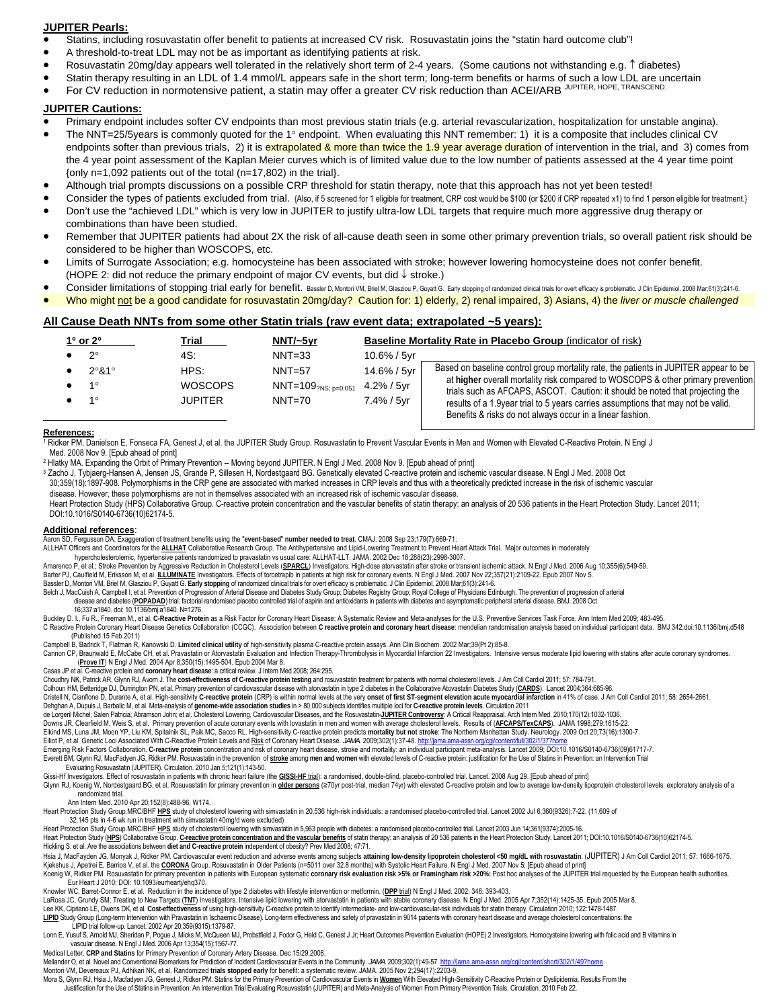#### **JUPITER Pearls:**

• Statins, including rosuvastatin offer benefit to patients at increased CV risk. Rosuvastatin joins the "statin hard outcome club"!

- A threshold-to-treat LDL may not be as important as identifying patients at risk.
- Rosuvastatin 20mg/day appears well tolerated in the relatively short term of 2-4 years. (Some cautions not withstanding e.g. ↑ diabetes)
- Statin therapy resulting in an LDL of 1.4 mmol/L appears safe in the short term; long-term benefits or harms of such a low LDL are uncertain
- For CV reduction in normotensive patient, a statin may offer a greater CV risk reduction than ACEI/ARB JUPITER, HOPE, TRANSCEND

### **JUPITER Cautions:**

- Primary endpoint includes softer CV endpoints than most previous statin trials (e.g. arterial revascularization, hospitalization for unstable angina).
- The NNT=25/5years is commonly quoted for the 1° endpoint. When evaluating this NNT remember: 1) it is a composite that includes clinical CV endpoints softer than previous trials, 2) it is extrapolated & more than twice the 1.9 year average duration of intervention in the trial, and 3) comes from the 4 year point assessment of the Kaplan Meier curves which is of limited value due to the low number of patients assessed at the 4 year time point {only n=1,092 patients out of the total (n=17,802) in the trial}.
- Although trial prompts discussions on a possible CRP threshold for statin therapy, note that this approach has not yet been tested!
- Consider the types of patients excluded from trial. {Also, if 5 screened for 1 eligible for treatment, CRP cost would be \$100 (or \$200 if CRP repeated x1) to find 1 person eligible for treatment.}
- Don't use the "achieved LDL" which is very low in JUPITER to justify ultra-low LDL targets that require much more aggressive drug therapy or combinations than have been studied.
- Remember that JUPITER patients had about 2X the risk of all-cause death seen in some other primary prevention trials, so overall patient risk should be considered to be higher than WOSCOPS, etc.
- Limits of Surrogate Association; e.g. homocysteine has been associated with stroke; however lowering homocysteine does not confer benefit. (HOPE 2: did not reduce the primary endpoint of major CV events, but did ↓ stroke.)
- Consider limitations of stopping trial early for benefit. Bassler D, Montori VM, Briel M, Glasziou P, Guyatt G. Early stopping of randomized clinical trials for overt efficacy is problematic. J Clin Epidemiol. 2008 Mar;61(
- Who might not be a good candidate for rosuvastatin 20mg/day? Caution for: 1) elderly, 2) renal impaired, 3) Asians, 4) the *liver or muscle challenged*

### **All Cause Death NNTs from some other Statin trials (raw event data; extrapolated ~5 years):**

| $1^\circ$ or $2^\circ$                    | Trial                                           | $NNT/-5yr$                                                                |                                              | Baseline Mortality Rate in Placebo Group (indicator of risk)                                                                                                                                                                                                                                                                                                                                               |  |  |  |
|-------------------------------------------|-------------------------------------------------|---------------------------------------------------------------------------|----------------------------------------------|------------------------------------------------------------------------------------------------------------------------------------------------------------------------------------------------------------------------------------------------------------------------------------------------------------------------------------------------------------------------------------------------------------|--|--|--|
| $2^{\circ}$<br>2°81°<br>1∘<br>$1^{\circ}$ | 4S:<br>HPS:<br><b>WOSCOPS</b><br><b>JUPITER</b> | $NNT = 33$<br>$NNT=57$<br>$NNT=109_{?NS: p=0.051}$ 4.2% / 5yr<br>$NNT=70$ | 10.6% / 5yr<br>14.6% / 5vr<br>$7.4\% / 5$ vr | Based on baseline control group mortality rate, the patients in JUPITER appear to be<br>at higher overall mortality risk compared to WOSCOPS & other primary prevention<br>trials such as AFCAPS, ASCOT. Caution: it should be noted that projecting the<br>results of a 1.9 year trial to 5 years carries assumptions that may not be valid.<br>Benefits & risks do not always occur in a linear fashion. |  |  |  |

#### **References:**

 $\overline{a}$ 

1 Ridker PM, Danielson E, Fonseca FA, Genest J, et al. the JUPITER Study Group. Rosuvastatin to Prevent Vascular Events in Men and Women with Elevated C-Reactive Protein. N Engl J Med. 2008 Nov 9. [Epub ahead of print]

2 Hlatky MA. Expanding the Orbit of Primary Prevention -- Moving beyond JUPITER. N Engl J Med. 2008 Nov 9. [Epub ahead of print]

3 Zacho J, Tybjaerg-Hansen A, Jensen JS, Grande P, Sillesen H, Nordestgaard BG. Genetically elevated C-reactive protein and ischemic vascular disease. N Engl J Med. 2008 Oct 30;359(18):1897-908. Polymorphisms in the CRP gene are associated with marked increases in CRP levels and thus with a theoretically predicted increase in the risk of ischemic vascular disease. However, these polymorphisms are not in themselves associated with an increased risk of ischemic vascular disease.

 Heart Protection Study (HPS) Collaborative Group. C-reactive protein concentration and the vascular benefits of statin therapy: an analysis of 20 536 patients in the Heart Protection Study. Lancet 2011; DOI:10.1016/S0140-6736(10)62174-5.

#### **Additional references**:

Aaron SD, Fergusson DA. Exaggeration of treatment benefits using the "event-based" number needed to treat. CMAJ. 2008 Sep 23;179(7):669-71.<br>ALLHAT Officers and Coordinators for the <u>ALLHAT</u> Collaborative Research Group. Th

hypercholesterolemic, hypertensive patients randomized to pravastatin vs usual care: ALLHAT-LLT. JAMA. 2002 Dec 18;288(23):2998-3007.

Amarenco P, et al.; Stroke Prevention by Aggressive Reduction in Cholesterol Levels (<u>SPARCL</u>) Investigators. High-dose atorvastatin after stroke or transient ischemic attack. N Engl J Med. 2006 Aug 10;355(6):549-59.<br>Barte

Bassler D, Montori VM, Briel M, Glasziou P, Guyatt G. Early stopping of randomized clinical trials for overt efficacy is problematic. J Clin Epidemiol. 2008 Mar;61(3):241-6.<br>Belch J, MacCuish A, Campbell I, et al. Preventi disease and diabetes (POPADAD) trial: factorial randomised placebo controlled trial of aspirin and antioxidants in patients with diabetes and asymptomatic peripheral arterial disease. BMJ. 2008 Oct

16;337:a1840. doi: 10.1136/bmj.a1840. N=1276.

Buckley D. I., Fu R., Freeman M., et al. **C-Reactive Protein** as a Risk Factor for Coronary Heart Disease: A Systematic Review and Meta-analyses for the U.S. Preventive Services Task Force. Ann Intern Med 2009; 483-495. C Reactive Protein Coronary Heart Disease Genetics Collaboration (CCGC). Association between C reactive protein and coronary heart disease: mendelian randomisation analysis based on individual participant data. BMJ 342:doi (Published 15 Feb 2011)

Campbell B, Badrick T, Flatman R, Kanowski D. **Limited clinical utility** of high-sensitivity plasma C-reactive protein assays. Ann Clin Biochem. 2002 Mar;39(Pt 2):85-8.

Cannon CP, Braunwald E, McCabe CH, et al. Pravastatin or Atorvastatin Evaluation and Infection Therapy-Thrombolysis in Myocardial Infarction 22 Investigators. Intensive versus moderate lipid lowering with statins after acu (**Prove IT**) N Engl J Med. 2004 Apr 8;350(15):1495-504. Epub 2004 Mar 8.

Casas JP et al. C-reactive protein and coronary heart disease: a critical review. J Intern Med 2008; 264:295.<br>Choudhry NK, Patrick AR, Glynn RJ, Avom J. The cost-effectiveness of C-reactive protein testing and rosuvastatin

Colhoun HM, Betteridge DJ, Durrington PN, et al. Primary prevention of cardiovascular disease with atorvastatin in type 2 diabetes in the Collaborative Atovastatin Diabetes Study (**CARDS**). Lancet 2004;364:685-96. Cristell N, Cianflone D, Durante A, et al. High-sensitivity C-reactive protein (CRP) is within normal levels at the very onset of first ST-segment elevation acute myocardial infarction in 41% of case. J Am Coll Cardiol 201

Dehghan A, Dupuis J, Barbalic M, et al. Meta-analysis of **genome-wide association studies** in > 80,000 subjects identifies multiple loci for **C-reactive protein levels**. Circulation 2011

de Lorgeril Michel; Salen Patricia; Abramson John; et al. Cholesterol Lowering, Cardiovascular Diseases, and the Rosuvastatin-**JUPITER Controversy**: A Critical Reappraisal. Arch Intern Med. 2010;170(12):1032-1036.

Downs JR, Clearfield M, Weis S, et al. Primary prevention of acute coronary events with lovastatin in men and women with average cholesterol levels. Results of (<u>AFCAPS/TexCAPS</u>). JAMA 1998;279:1615-22.<br>Elkind MS, Luna JM,

Elliot P, et al. Genetic Loci Associated With C-Reactive Protein Levels and <u>Risk</u> of Coronary Heart Disease. JAMA. 2009;302(1):37-48. http://jama.ama-assn.org/cgilcontent/full/302/1/37?home<br>Emerging Risk Factors Collabora

Everett BM, Glynn RJ, MacFadyen JG, Ridker PM. Rosuvastatin in the prevention of stroke among men and women with elevated levels of C-reactive protein: justification for the Use of Statins in Prevention: an Intervention Tr

Evaluating Rosuvastatin (JUPITER). Circulation. 2010 Jan 5;121(1):143-50.

Gissi-Hf Investigators. Effect of rosuvastatin in patients with chronic heart failure (the **GISSI-HF trial**): a randomised, double-blind, placebo-controlled trial. Lancet. 2008 Aug 29. [Epub ahead of print]

Glynn RJ, Koenig W, Nordestgaard BG, et al. Rosuvastatin for primary prevention in older persons (270yr post-trial, median 74yr) with elevated C-reactive protein and low to average low-density lipoprotein cholesterol level randomized trial.

Ann Intern Med. 2010 Apr 20;152(8):488-96, W174.

Heart Protection Study Group.MRC/BHF <u>HPS</u> study of cholesterol lowering with simvastatin in 20,536 high-risk individuals: a randomised placebo-controlled trial. Lancet 2002 Jul 6;360(9326):7-22. (11,609 of<br>32,145 pts in 4

Heart Protection Study Group.MRC/BHF HPS study of cholesterol lowering with simvastatin in 5,963 people with diabetes: a randomised placebo-controlled trial. Lancet 2003 Jun 14;361(9374):2005-16.

Heart Protection Study (HPS) Collaborative Group. C-reactive protein concentration and the vascular benefits of statin therapy: an analysis of 20 536 patients in the Heart Protection Study. Lancet 2011; DOI:10.1016/S0140-6

Hickling S. et al. Are the associations between **diet and C-reactive protein** independent of obesity? Prev Med 2008; 47:71. Hsia J, MacFayden JG, Monyak J, Ridker PM. Cardiovascular event reduction and adverse events among subjects attaining low-density lipoprotein cholesterol <50 mg/dL with rosuvastatin. (JUPITER) J Am Coll Cardiol 2011; 57: 1 Kjekshus J, Apetrei E, Barrios V, et al. the CORONA Group. Rosuvastatin in Older Patients (n=5011 over 32.8 months) with Systolic Heart Failure. N Engl J Med. 2007 Nov 5; [Epub ahead of print]

Recoverage My Related by the European Section in patients with European systematic coronary risk evaluation risk >5% or Framingham risk >20%: Post hoc analyses of the JUPITER trial requested by the European health authorit Eur Heart J 2010; DOI: 10.1093/eurheartj/ehq370.

Knowler WC, Barret-Connor E, et al. Reduction in the incidence of type 2 diabetes with lifestyle intervention or metformin. (<u>DPP trial</u>) N Engl J Med. 2002; 346: 393-403.<br>LaRosa JC, Grundy SM; Treating to New Targets (<u>TN</u> Lee KK, Cipriano LE, Owens DK, et al. Cost-effectiveness of using high-sensitivity C-reactive protein to identify intermediate- and low-cardiovascular-risk individuals for statin therapy. Circulation 2010; 122:1478-1487.<br><u></u>

LIPID trial follow-up. Lancet. 2002 Apr 20;359(9315):1379-87.

Lonn E, Yusuf S, Arnold MJ, Sheridan P, Pogue J, Micks M, McQueen MJ, Probstfield J, Fodor G, Held C, Genest J Jr; Heart Outcomes Prevention Evaluation (HOPE) 2 Investigators. Homocysteine lowering with folic acid and B v

Medical Letter. CRP and Statins for Primary Prevention of Coronary Artery Disease. Dec 15/29,2008.<br>Mellander O, et al. Novel and Conventional Biomarkers for Prediction of Incident Cardiovascular Events in the Community. *J* Montori VM, Devereaux PJ, Adhikari NK, et al. Randomized **trials stopped early** for benefit: a systematic review. JAMA. 2005 Nov 2;294(17):2203-9.

Mora S, Glynn RJ, Hsia J, Macfadyen JG, Genest J, Ridker PM. Statins for the Primary Prevention of Cardiovascular Events in Women With Elevated High-Sensitivity C-Reactive Protein or Dyslipidemia. Results From the

Justification for the Use of Statins in Prevention: An Intervention Trial Evaluating Rosuvastatin (JUPITER) and Meta-Analysis of Women From Primary Prevention Trials. Circulation. 2010 Feb 22.